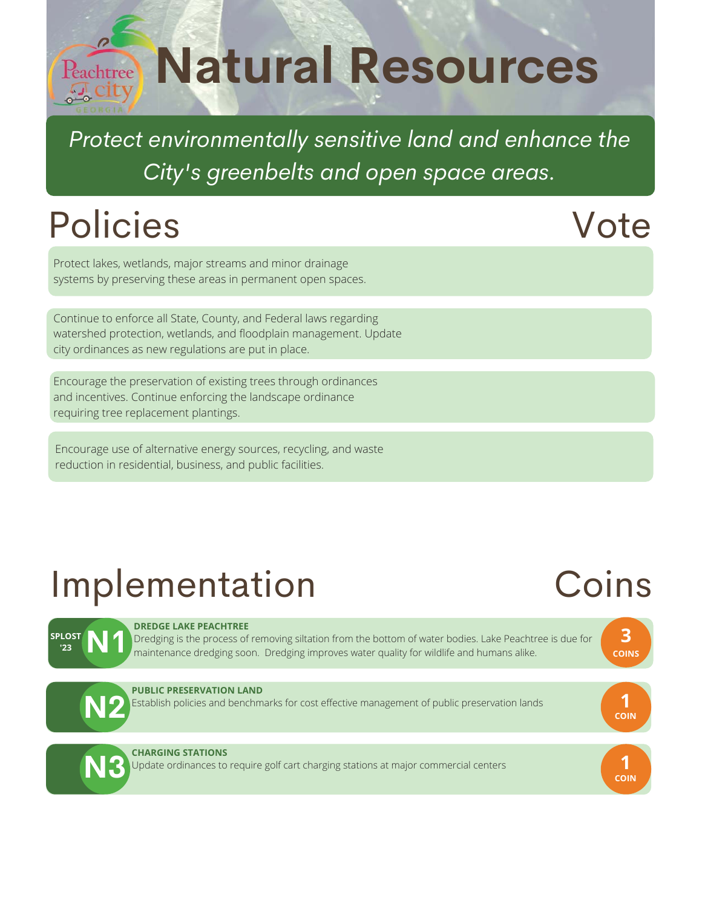# **Reachtree Natural Resources**

*Protect environmentally sensitive land and enhance the City's greenbelts and open space areas.*

# Policies

#### Vote

Protect lakes, wetlands, major streams and minor drainage systems by preserving these areas in permanent open spaces.

Continue to enforce all State, County, and Federal laws regarding watershed protection, wetlands, and floodplain management. Update city ordinances as new regulations are put in place.

Encourage the preservation of existing trees through ordinances and incentives. Continue enforcing the landscape ordinance requiring tree replacement plantings.

Encourage use of alternative energy sources, recycling, and waste reduction in residential, business, and public facilities.

# Implementation

# Coins

| <b>SPLOST</b><br>'23 | <b>DREDGE LAKE PEACHTREE</b><br>Dredging is the process of removing siltation from the bottom of water bodies. Lake Peachtree is due for<br>maintenance dredging soon. Dredging improves water quality for wildlife and humans alike. | $\overline{\mathbf{3}}$<br><b>COINS</b> |
|----------------------|---------------------------------------------------------------------------------------------------------------------------------------------------------------------------------------------------------------------------------------|-----------------------------------------|
|                      | <b>PUBLIC PRESERVATION LAND</b><br>Establish policies and benchmarks for cost effective management of public preservation lands                                                                                                       | <b>COIN</b>                             |
|                      | <b>CHARGING STATIONS</b><br>Update ordinances to require golf cart charging stations at major commercial centers                                                                                                                      | <b>COIN</b>                             |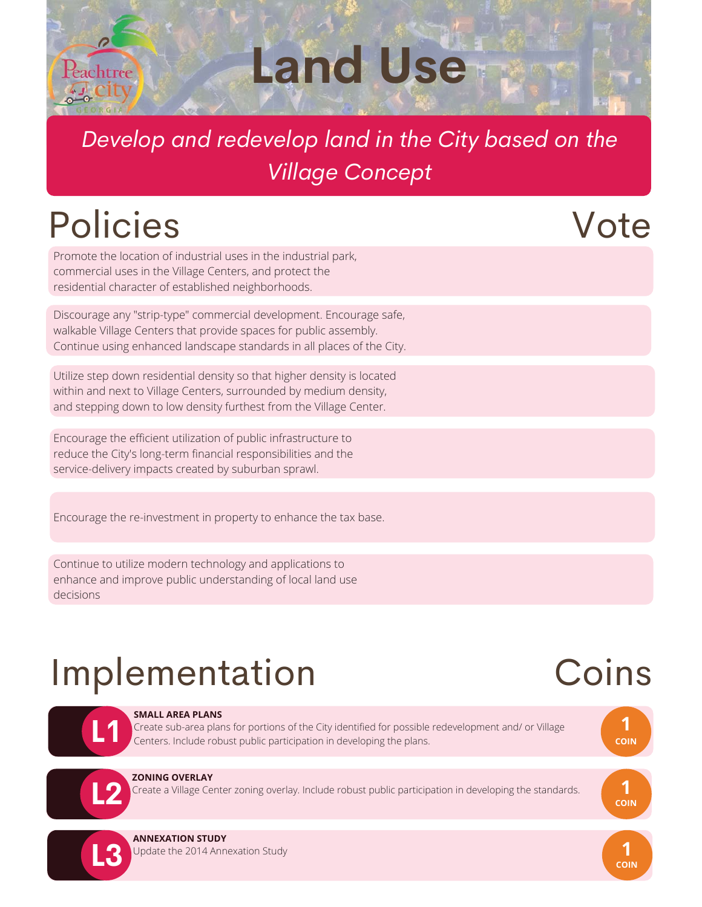

**Land Use**

#### *Develop and redevelop land in the City based on the Village Concept*

### Policies

Promote the location of industrial uses in the industrial park, commercial uses in the Village Centers, and protect the residential character of established neighborhoods.

Discourage any "strip-type" commercial development. Encourage safe, walkable Village Centers that provide spaces for public assembly. Continue using enhanced landscape standards in all places of the City.

Utilize step down residential density so that higher density is located within and next to Village Centers, surrounded by medium density, and stepping down to low density furthest from the Village Center.

Encourage the efficient utilization of public infrastructure to reduce the City's long-term financial responsibilities and the service-delivery impacts created by suburban sprawl.

Encourage the re-investment in property to enhance the tax base.

Continue to utilize modern technology and applications to enhance and improve public understanding of local land use decisions

# Implementation

#### Coins

**1 COIN**

**1 COIN**

**1 COIN**

Vote



#### **SMALL AREA PLANS**

Create sub-area plans for portions of the City identified for possible redevelopment and/ or Village Centers. Include robust public participation in developing the plans.



**L3**

#### **ZONING OVERLAY**

Create a Village Center zoning overlay. Include robust public participation in developing the standards.



#### **ANNEXATION STUDY**

Update the 2014 Annexation Study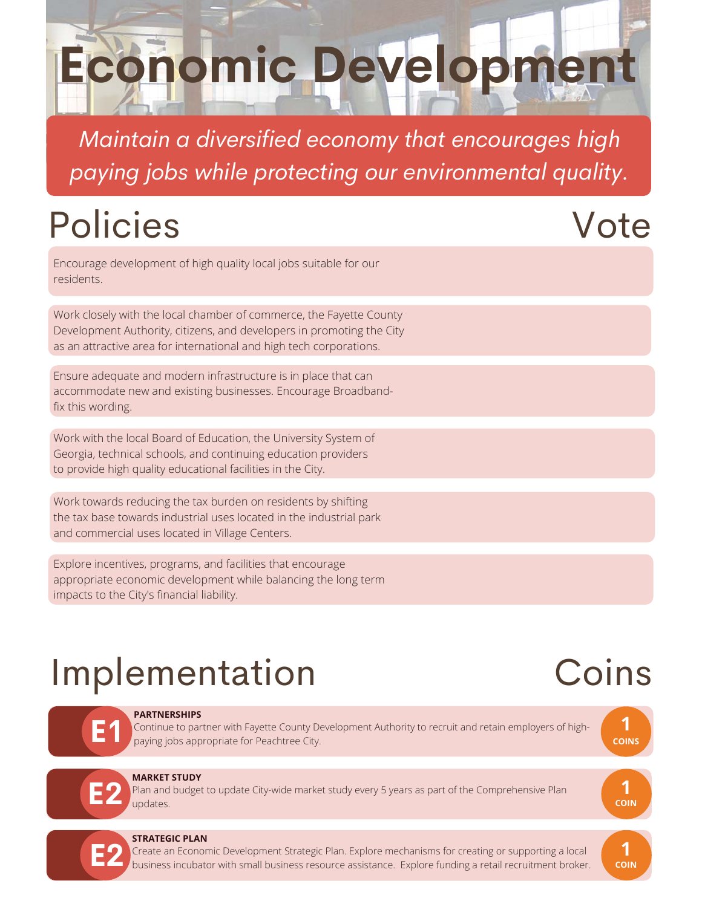# **Economic Development**

*Maintain a diversified economy that encourages high paying jobs while protecting our environmental quality.*

# Policies

#### Vote

Encourage development of high quality local jobs suitable for our residents.

Work closely with the local chamber of commerce, the Fayette County Development Authority, citizens, and developers in promoting the City as an attractive area for international and high tech corporations.

Ensure adequate and modern infrastructure is in place that can accommodate new and existing businesses. Encourage Broadbandfix this wording.

Work with the local Board of Education, the University System of Georgia, technical schools, and continuing education providers to provide high quality educational facilities in the City.

Work towards reducing the tax burden on residents by shifting the tax base towards industrial uses located in the industrial park and commercial uses located in Village Centers.

Explore incentives, programs, and facilities that encourage appropriate economic development while balancing the long term impacts to the City's financial liability.

# Implementation

#### Coins



#### **PARTNERSHIPS**

Continue to partner with Fayette County Development Authority to recruit and retain employers of highpaying jobs appropriate for Peachtree City.



# **E2**

#### **MARKET STUDY**

Plan and budget to update City-wide market study every 5 years as part of the Comprehensive Plan updates.





#### **STRATEGIC PLAN**

Create an Economic Development Strategic Plan. Explore mechanisms for creating or supporting a local business incubator with small business resource assistance. Explore funding a retail recruitment broker.

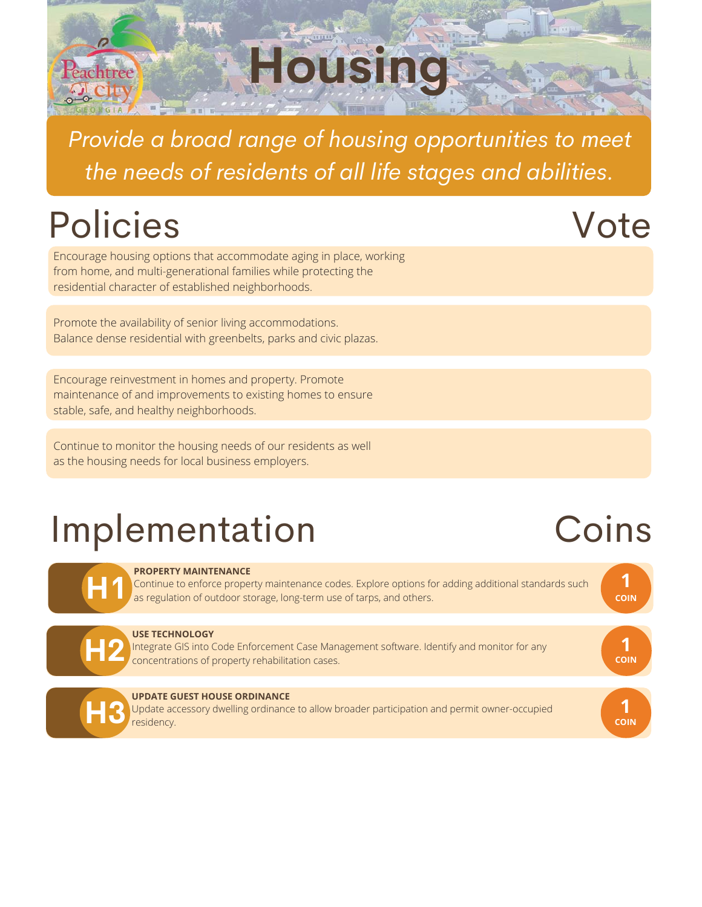*Provide a broad range of housing opportunities to meet the needs of residents of all life stages and abilities.*

**Housing**

# Policies

Peachtree

Encourage housing options that accommodate aging in place, working from home, and multi-generational families while protecting the residential character of established neighborhoods.

Promote the availability of senior living accommodations. Balance dense residential with greenbelts, parks and civic plazas.

Encourage reinvestment in homes and property. Promote maintenance of and improvements to existing homes to ensure stable, safe, and healthy neighborhoods.

Continue to monitor the housing needs of our residents as well as the housing needs for local business employers.

#### Implementation

#### **PROPERTY MAINTENANCE**

Continue to enforce property maintenance codes. Explore options for adding additional standards such as regulation of outdoor storage, long-term use of tarps, and others.



**H1**

#### **USE TECHNOLOGY**

Integrate GIS into Code Enforcement Case Management software. Identify and monitor for any concentrations of property rehabilitation cases.



#### **UPDATE GUEST HOUSE ORDINANCE**

Update accessory dwelling ordinance to allow broader participation and permit owner-occupied residency.

#### Coins

**1 COIN**

**1 COIN**

**1 COIN**

#### Vote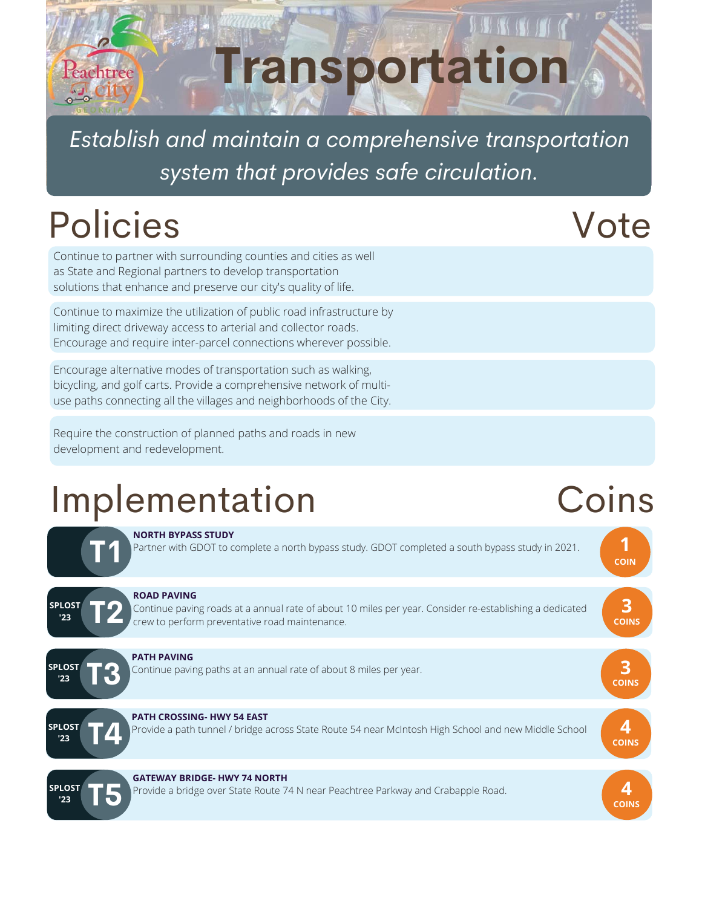# **Transportation** Peachtree

*Establish and maintain a comprehensive transportation system that provides safe circulation.*

# Policies

Continue to partner with surrounding counties and cities as well as State and Regional partners to develop transportation solutions that enhance and preserve our city's quality of life.

Continue to maximize the utilization of public road infrastructure by limiting direct driveway access to arterial and collector roads. Encourage and require inter-parcel connections wherever possible.

Encourage alternative modes of transportation such as walking, bicycling, and golf carts. Provide a comprehensive network of multiuse paths connecting all the villages and neighborhoods of the City.

Require the construction of planned paths and roads in new development and redevelopment.

### Implementation Coins



Vote

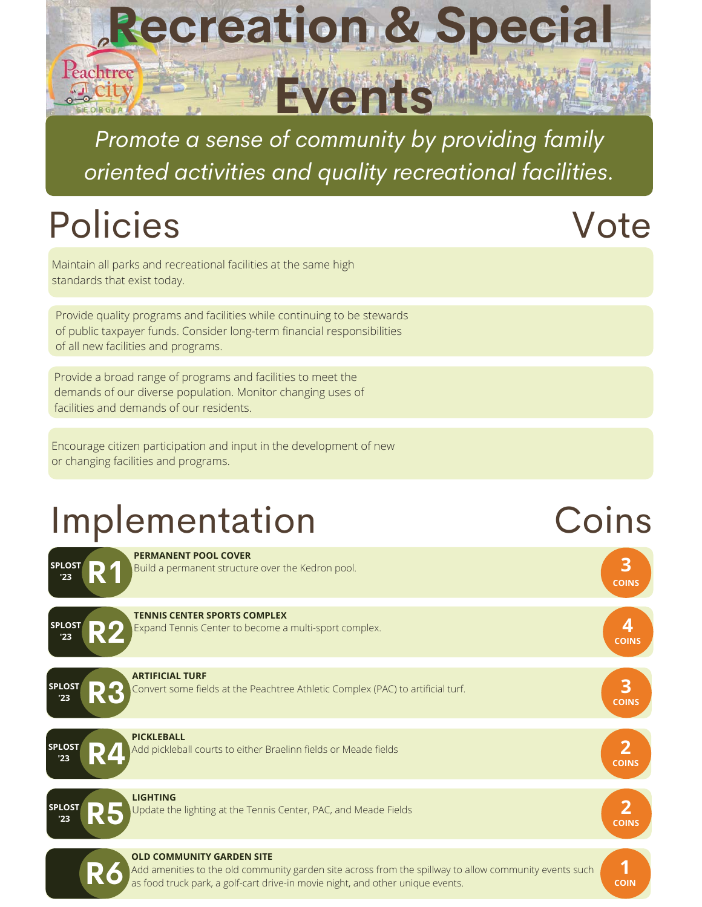

*Promote a sense of community by providing family oriented activities and quality recreational facilities.*

# Policies

Vote

Maintain all parks and recreational facilities at the same high standards that exist today.

Provide quality programs and facilities while continuing to be stewards of public taxpayer funds. Consider long-term financial responsibilities of all new facilities and programs.

Provide a broad range of programs and facilities to meet the demands of our diverse population. Monitor changing uses of facilities and demands of our residents.

Encourage citizen participation and input in the development of new or changing facilities and programs.

# Implementation Coins

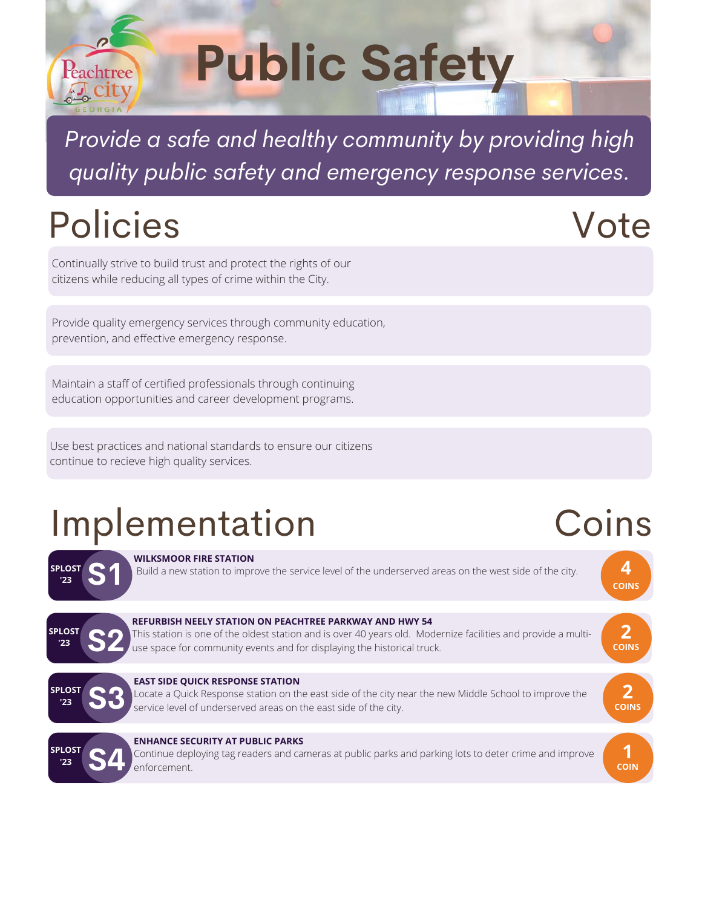#### *Provide a safe and healthy community by providing high quality public safety and emergency response services.*

**Public Safety** 

# Policies

Peachtree

Continually strive to build trust and protect the rights of our citizens while reducing all types of crime within the City.

Provide quality emergency services through community education, prevention, and effective emergency response.

Maintain a staff of certified professionals through continuing education opportunities and career development programs.

Use best practices and national standards to ensure our citizens continue to recieve high quality services.

# Implementation



**WILKSMOOR FIRE STATION**

Build a new station to improve the service level of the underserved areas on the west side of the city.



#### **REFURBISH NEELY STATION ON PEACHTREE PARKWAY AND HWY 54**

This station is one of the oldest station and is over 40 years old. Modernize facilities and provide a multiuse space for community events and for displaying the historical truck.



**EAST SIDE QUICK RESPONSE STATION**<br>Locate a Quick Response station on the east side of the city near the new Middle School to improve the service level of underserved areas on the east side of the city.



#### **ENHANCE SECURITY AT PUBLIC PARKS**

Continue deploying tag readers and cameras at public parks and parking lots to deter crime and improve enforcement.

#### Vote

Coins

**4 COINS**

**2 COINS**

**COINS**

**1 COIN**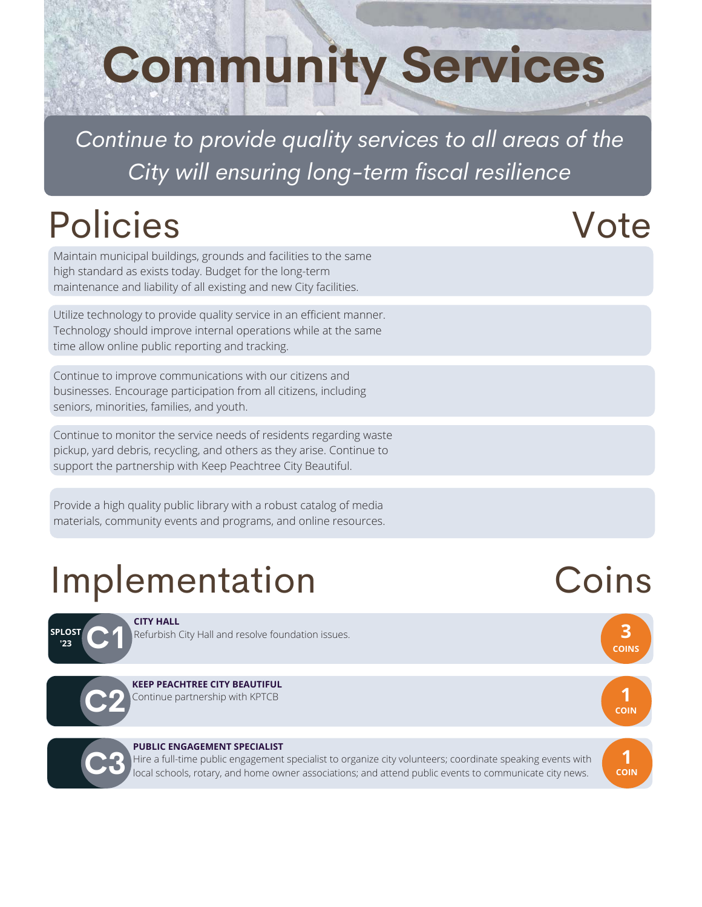# **Community Services**

*Continue to provide quality services to all areas of the City will ensuring long-term fiscal resilience*

# Policies Vote

Maintain municipal buildings, grounds and facilities to the same high standard as exists today. Budget for the long-term maintenance and liability of all existing and new City facilities.

Utilize technology to provide quality service in an efficient manner. Technology should improve internal operations while at the same time allow online public reporting and tracking.

Continue to improve communications with our citizens and businesses. Encourage participation from all citizens, including seniors, minorities, families, and youth.

Continue to monitor the service needs of residents regarding waste pickup, yard debris, recycling, and others as they arise. Continue to support the partnership with Keep Peachtree City Beautiful.

Provide a high quality public library with a robust catalog of media materials, community events and programs, and online resources.

# Implementation

**CITY HALL**

#### **SPLOST '23 C1**

Refurbish City Hall and resolve foundation issues.



#### Continue partnership with KPTCB **KEEP PEACHTREE CITY BEAUTIFUL**



#### **PUBLIC ENGAGEMENT SPECIALIST**

Hire a full-time public engagement specialist to organize city volunteers; coordinate speaking events with **<sup>1</sup> C3 COIN** ocal schools, rotary, and home owner associations; and attend public events to communicate city news.

### Coins

**3 COINS**

**1 COIN**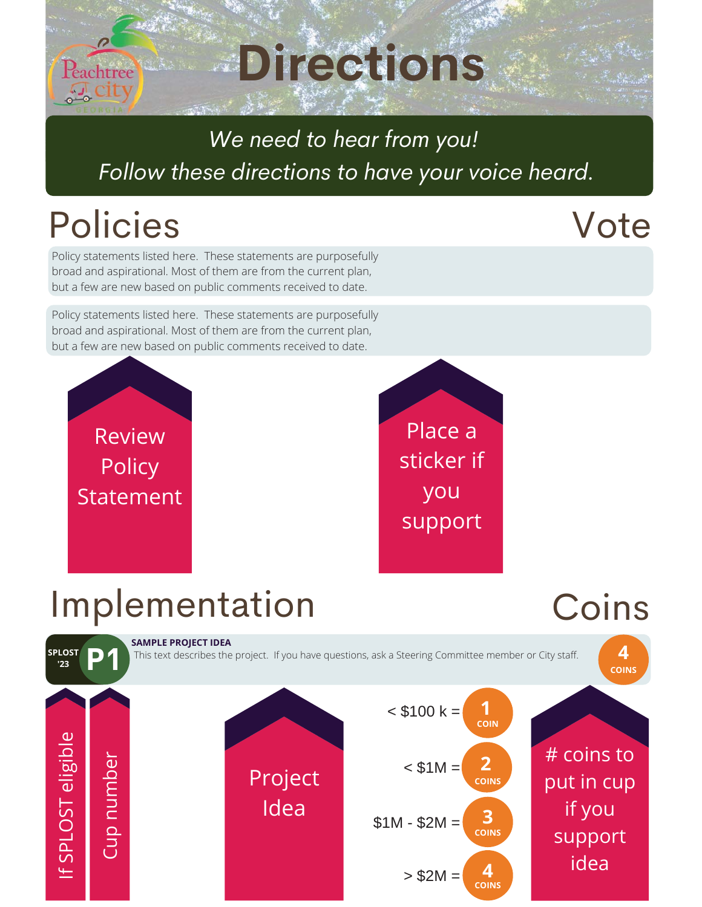#### **Directions** Peachtree  $4 - 6$

#### *We need to hear from you! Follow these directions to have your voice heard.*

# Policies

#### Vote

Policy statements listed here. These statements are purposefully broad and aspirational. Most of them are from the current plan, but a few are new based on public comments received to date.

Policy statements listed here. These statements are purposefully broad and aspirational. Most of them are from the current plan, but a few are new based on public comments received to date.



Place a sticker if you support

#### Implementation

#### Coins